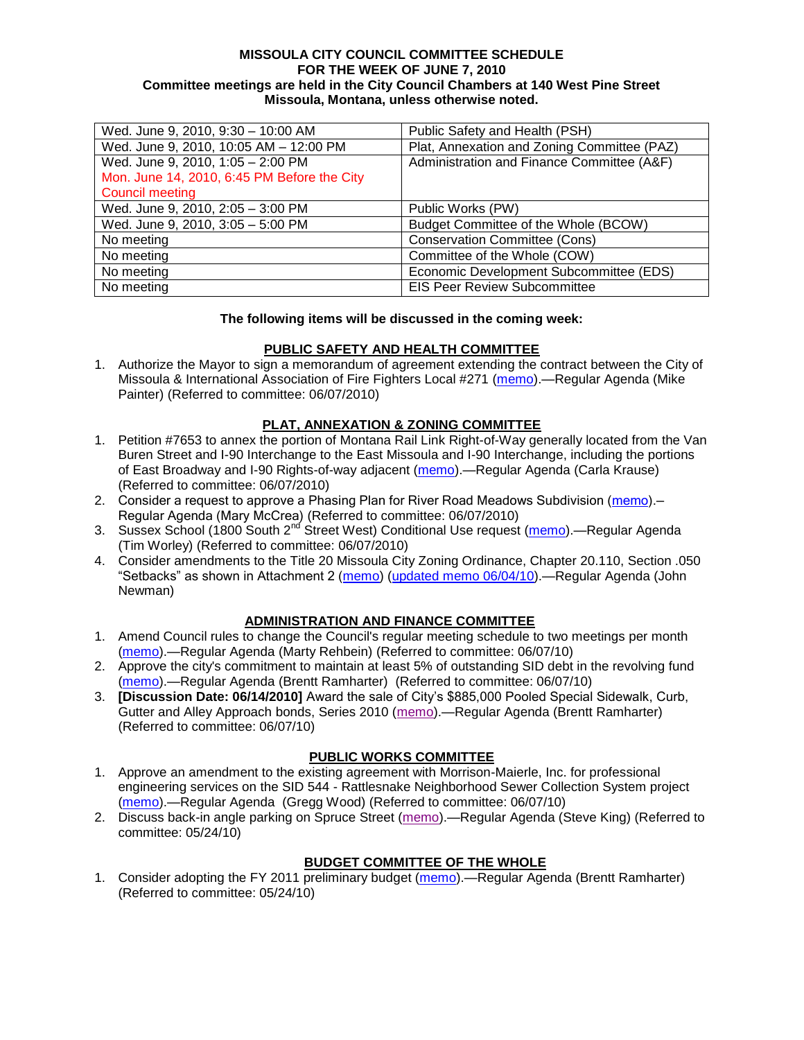#### **MISSOULA CITY COUNCIL COMMITTEE SCHEDULE FOR THE WEEK OF JUNE 7, 2010 Committee meetings are held in the City Council Chambers at 140 West Pine Street Missoula, Montana, unless otherwise noted.**

| Wed. June 9, 2010, 9:30 - 10:00 AM          | Public Safety and Health (PSH)              |
|---------------------------------------------|---------------------------------------------|
| Wed. June 9, 2010, 10:05 AM - 12:00 PM      | Plat, Annexation and Zoning Committee (PAZ) |
| Wed. June 9, 2010, 1:05 - 2:00 PM           | Administration and Finance Committee (A&F)  |
| Mon. June 14, 2010, 6:45 PM Before the City |                                             |
| <b>Council meeting</b>                      |                                             |
| Wed. June 9, 2010, 2:05 - 3:00 PM           | Public Works (PW)                           |
| Wed. June 9, 2010, 3:05 - 5:00 PM           | Budget Committee of the Whole (BCOW)        |
| No meeting                                  | <b>Conservation Committee (Cons)</b>        |
| No meeting                                  | Committee of the Whole (COW)                |
| No meeting                                  | Economic Development Subcommittee (EDS)     |
| No meeting                                  | <b>EIS Peer Review Subcommittee</b>         |

# **The following items will be discussed in the coming week:**

# **PUBLIC SAFETY AND HEALTH COMMITTEE**

1. Authorize the Mayor to sign a memorandum of agreement extending the contract between the City of Missoula & International Association of Fire Fighters Local #271 [\(memo\)](http://www.ci.missoula.mt.us/DocumentView.aspx?DID=4024).—Regular Agenda (Mike Painter) (Referred to committee: 06/07/2010)

# **PLAT, ANNEXATION & ZONING COMMITTEE**

- 1. Petition #7653 to annex the portion of Montana Rail Link Right-of-Way generally located from the Van Buren Street and I-90 Interchange to the East Missoula and I-90 Interchange, including the portions of East Broadway and I-90 Rights-of-way adjacent [\(memo\)](http://www.ci.missoula.mt.us/DocumentView.aspx?DID=4034).—Regular Agenda (Carla Krause) (Referred to committee: 06/07/2010)
- 2. Consider a request to approve a Phasing Plan for River Road Meadows Subdivision [\(memo\)](http://www.ci.missoula.mt.us/DocumentView.aspx?DID=4059) -Regular Agenda (Mary McCrea) (Referred to committee: 06/07/2010)
- 3. Sussex School (1800 South 2<sup>nd</sup> Street West) Conditional Use request [\(memo\)](http://www.ci.missoula.mt.us/DocumentView.aspx?DID=4063).—Regular Agenda (Tim Worley) (Referred to committee: 06/07/2010)
- 4. Consider amendments to the Title 20 Missoula City Zoning Ordinance, Chapter 20.110, Section .050 ―Setbacks‖ as shown in Attachment 2 [\(memo\)](http://www.ci.missoula.mt.us/DocumentView.aspx?DID=3821) [\(updated memo 06/04/10\)](http://www.ci.missoula.mt.us/DocumentView.aspx?DID=4068).—Regular Agenda (John Newman)

# **ADMINISTRATION AND FINANCE COMMITTEE**

- 1. Amend Council rules to change the Council's regular meeting schedule to two meetings per month [\(memo\)](http://www.ci.missoula.mt.us/DocumentView.aspx?DID=4027).—Regular Agenda (Marty Rehbein) (Referred to committee: 06/07/10)
- 2. Approve the city's commitment to maintain at least 5% of outstanding SID debt in the revolving fund [\(memo\)](http://www.ci.missoula.mt.us/DocumentView.aspx?DID=4060).—Regular Agenda (Brentt Ramharter) (Referred to committee: 06/07/10)
- 3. **[Discussion Date: 06/14/2010]** Award the sale of City's \$885,000 Pooled Special Sidewalk, Curb, Gutter and Alley Approach bonds, Series 2010 [\(memo\)](http://www.ci.missoula.mt.us/DocumentView.aspx?DID=4062).—Regular Agenda (Brentt Ramharter) (Referred to committee: 06/07/10)

#### **PUBLIC WORKS COMMITTEE**

- 1. Approve an amendment to the existing agreement with Morrison-Maierle, Inc. for professional engineering services on the SID 544 - Rattlesnake Neighborhood Sewer Collection System project [\(memo\)](http://www.ci.missoula.mt.us/DocumentView.aspx?DID=4065).—Regular Agenda (Gregg Wood) (Referred to committee: 06/07/10)
- 2. Discuss back-in angle parking on Spruce Street [\(memo\)](http://www.ci.missoula.mt.us/DocumentView.aspx?DID=3890).—Regular Agenda (Steve King) (Referred to committee: 05/24/10)

# **BUDGET COMMITTEE OF THE WHOLE**

1. Consider adopting the FY 2011 preliminary budget [\(memo\)](http://www.ci.missoula.mt.us/DocumentView.aspx?DID=3881).—Regular Agenda (Brentt Ramharter) (Referred to committee: 05/24/10)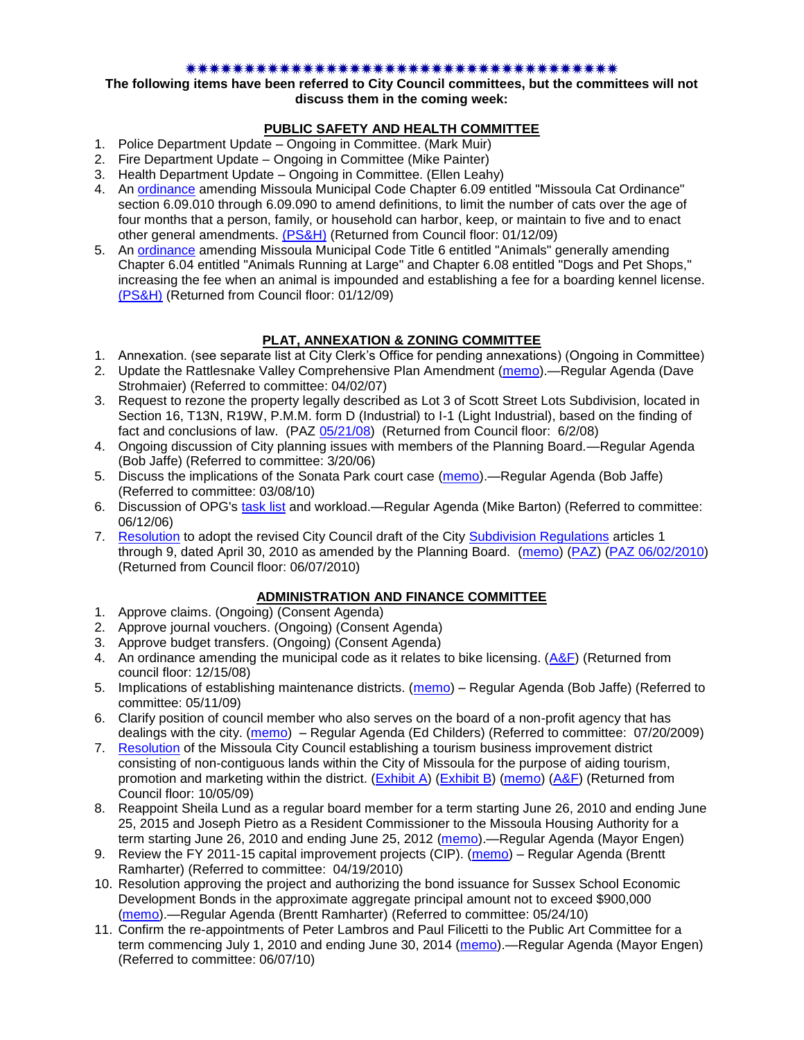#### 

#### **The following items have been referred to City Council committees, but the committees will not discuss them in the coming week:**

# **PUBLIC SAFETY AND HEALTH COMMITTEE**

- 1. Police Department Update Ongoing in Committee. (Mark Muir)
- 2. Fire Department Update Ongoing in Committee (Mike Painter)
- 3. Health Department Update Ongoing in Committee. (Ellen Leahy)
- 4. An [ordinance](ftp://ftp.ci.missoula.mt.us/Packets/Council/2008/2008-12-15/2008CatOrdinanceAmendment%5B1%5D.pdf) amending Missoula Municipal Code Chapter 6.09 entitled "Missoula Cat Ordinance" section 6.09.010 through 6.09.090 to amend definitions, to limit the number of cats over the age of four months that a person, family, or household can harbor, keep, or maintain to five and to enact other general amendments. [\(PS&H\)](ftp://ftp.ci.missoula.mt.us/Packets/Council/2008/2008-12-15/081210psh.pdf) (Returned from Council floor: 01/12/09)
- 5. An [ordinance](ftp://ftp.ci.missoula.mt.us/Packets/Council/2008/2008-12-15/DogOrdinance--PSHrevisions.pdf) amending Missoula Municipal Code Title 6 entitled "Animals" generally amending Chapter 6.04 entitled "Animals Running at Large" and Chapter 6.08 entitled "Dogs and Pet Shops," increasing the fee when an animal is impounded and establishing a fee for a boarding kennel license. [\(PS&H\)](ftp://ftp.ci.missoula.mt.us/Packets/Council/2008/2008-12-15/081210psh.pdf) (Returned from Council floor: 01/12/09)

# **PLAT, ANNEXATION & ZONING COMMITTEE**

- 1. Annexation. (see separate list at City Clerk's Office for pending annexations) (Ongoing in Committee)
- 2. Update the Rattlesnake Valley Comprehensive Plan Amendment [\(memo\)](ftp://ftp.ci.missoula.mt.us/Packets/Council/2007/2007-04-02/Referrals/Rattlesnake_Plan_Update_referral.pdf).—Regular Agenda (Dave Strohmaier) (Referred to committee: 04/02/07)
- 3. Request to rezone the property legally described as Lot 3 of Scott Street Lots Subdivision, located in Section 16, T13N, R19W, P.M.M. form D (Industrial) to I-1 (Light Industrial), based on the finding of fact and conclusions of law. (PAZ [05/21/08\)](ftp://ftp.ci.missoula.mt.us/Packets/Council/2008/2008-06-02/080521paz.pdf) (Returned from Council floor: 6/2/08)
- 4. Ongoing discussion of City planning issues with members of the Planning Board.—Regular Agenda (Bob Jaffe) (Referred to committee: 3/20/06)
- 5. Discuss the implications of the Sonata Park court case [\(memo\)](http://www.ci.missoula.mt.us/DocumentView.aspx?DID=3268).—Regular Agenda (Bob Jaffe) (Referred to committee: 03/08/10)
- 6. Discussion of OPG's [task list](http://www.ci.missoula.mt.us/DocumentView.aspx?DID=3837) and workload.—Regular Agenda (Mike Barton) (Referred to committee: 06/12/06)
- 7. [Resolution](http://www.ci.missoula.mt.us/DocumentView.aspx?DID=3844) to adopt the revised City Council draft of the City [Subdivision Regulations](http://www.ci.missoula.mt.us/DocumentView.aspx?DID=3692) articles 1 through 9, dated April 30, 2010 as amended by the Planning Board. [\(memo\)](http://www.ci.missoula.mt.us/DocumentView.aspx?DID=3698) [\(PAZ\)](http://www.ci.missoula.mt.us/Archive.aspx?ADID=2336) [\(PAZ 06/02/2010\)](http://www.ci.missoula.mt.us/Archive.aspx?ADID=2481) (Returned from Council floor: 06/07/2010)

# **ADMINISTRATION AND FINANCE COMMITTEE**

- 1. Approve claims. (Ongoing) (Consent Agenda)
- 2. Approve journal vouchers. (Ongoing) (Consent Agenda)
- 3. Approve budget transfers. (Ongoing) (Consent Agenda)
- 4. An ordinance amending the municipal code as it relates to bike licensing. [\(A&F\)](ftp://ftp.ci.missoula.mt.us/Packets/Council/2008/2008-12-15/081210af.pdf) (Returned from council floor: 12/15/08)
- 5. Implications of establishing maintenance districts. [\(memo\)](ftp://ftp.ci.missoula.mt.us/Packets/Council/2009/2009-05-11/Referrals/MaintenanceDistricts.pdf) Regular Agenda (Bob Jaffe) (Referred to committee: 05/11/09)
- 6. Clarify position of council member who also serves on the board of a non-profit agency that has dealings with the city. [\(memo\)](http://www.ci.missoula.mt.us/DocumentView.aspx?DID=1840) – Regular Agenda (Ed Childers) (Referred to committee: 07/20/2009)
- 7. [Resolution](http://www.ci.missoula.mt.us/DocumentView.aspx?DID=2373) of the Missoula City Council establishing a tourism business improvement district consisting of non-contiguous lands within the City of Missoula for the purpose of aiding tourism, promotion and marketing within the district. [\(Exhibit A\)](http://www.ci.missoula.mt.us/DocumentView.aspx?DID=2090) [\(Exhibit B\)](http://www.ci.missoula.mt.us/DocumentView.aspx?DID=2374) [\(memo\)](http://www.ci.missoula.mt.us/DocumentView.aspx?DID=2097) [\(A&F\)](http://www.ci.missoula.mt.us/Archive.aspx?ADID=1172) (Returned from Council floor: 10/05/09)
- 8. Reappoint Sheila Lund as a regular board member for a term starting June 26, 2010 and ending June 25, 2015 and Joseph Pietro as a Resident Commissioner to the Missoula Housing Authority for a term starting June 26, 2010 and ending June 25, 2012 [\(memo\)](http://www.ci.missoula.mt.us/DocumentView.aspx?DID=3878).—Regular Agenda (Mayor Engen)
- 9. Review the FY 2011-15 capital improvement projects (CIP). [\(memo\)](http://www.ci.missoula.mt.us/DocumentView.aspx?DID=3522) Regular Agenda (Brentt Ramharter) (Referred to committee: 04/19/2010)
- 10. Resolution approving the project and authorizing the bond issuance for Sussex School Economic Development Bonds in the approximate aggregate principal amount not to exceed \$900,000 [\(memo\)](http://www.ci.missoula.mt.us/DocumentView.aspx?DID=3886).—Regular Agenda (Brentt Ramharter) (Referred to committee: 05/24/10)
- 11. Confirm the re-appointments of Peter Lambros and Paul Filicetti to the Public Art Committee for a term commencing July 1, 2010 and ending June 30, 2014 [\(memo\)](http://www.ci.missoula.mt.us/DocumentView.aspx?DID=4022).—Regular Agenda (Mayor Engen) (Referred to committee: 06/07/10)